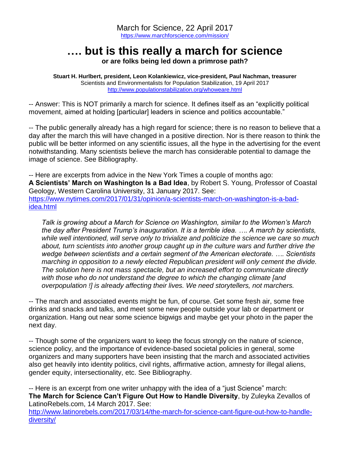## **…. but is this really a march for science**

**or are folks being led down a primrose path?**

**Stuart H. Hurlbert, president, Leon Kolankiewicz, vice-president, Paul Nachman, treasurer** Scientists and Environmentalists for Population Stabilization, 19 April 2017 <http://www.populationstabilization.org/whoweare.html>

-- Answer: This is NOT primarily a march for science. It defines itself as an "explicitly political movement, aimed at holding [particular] leaders in science and politics accountable."

-- The public generally already has a high regard for science; there is no reason to believe that a day after the march this will have changed in a positive direction. Nor is there reason to think the public will be better informed on any scientific issues, all the hype in the advertising for the event notwithstanding. Many scientists believe the march has considerable potential to damage the image of science. See Bibliography.

-- Here are excerpts from advice in the New York Times a couple of months ago: **A Scientists' March on Washington Is a Bad Idea**, by Robert S. Young, Professor of Coastal Geology, Western Carolina University, 31 January 2017. See: [https://www.nytimes.com/2017/01/31/opinion/a-scientists-march-on-washington-is-a-bad](https://www.nytimes.com/2017/01/31/opinion/a-scientists-march-on-washington-is-a-bad-idea.html)[idea.html](https://www.nytimes.com/2017/01/31/opinion/a-scientists-march-on-washington-is-a-bad-idea.html)

*Talk is growing about a March for Science on Washington, similar to the Women's March the day after President Trump's inauguration. It is a terrible idea. …. A march by scientists, while well intentioned, will serve only to trivialize and politicize the science we care so much about, turn scientists into another group caught up in the culture wars and further drive the wedge between scientists and a certain segment of the American electorate. …. Scientists marching in opposition to a newly elected Republican president will only cement the divide. The solution here is not mass spectacle, but an increased effort to communicate directly with those who do not understand the degree to which the changing climate [and overpopulation !] is already affecting their lives. We need storytellers, not marchers.* 

-- The march and associated events might be fun, of course. Get some fresh air, some free drinks and snacks and talks, and meet some new people outside your lab or department or organization. Hang out near some science bigwigs and maybe get your photo in the paper the next day.

-- Though some of the organizers want to keep the focus strongly on the nature of science, science policy, and the importance of evidence-based societal policies in general, some organizers and many supporters have been insisting that the march and associated activities also get heavily into identity politics, civil rights, affirmative action, amnesty for illegal aliens, gender equity, intersectionality, etc. See Bibliography.

-- Here is an excerpt from one writer unhappy with the idea of a "just Science" march: **The March for Science Can't Figure Out How to Handle Diversity**, by Zuleyka Zevallos of LatinoRebels.com, 14 March 2017. See:

[http://www.latinorebels.com/2017/03/14/the-march-for-science-cant-figure-out-how-to-handle](http://www.latinorebels.com/2017/03/14/the-march-for-science-cant-figure-out-how-to-handle-diversity/)[diversity/](http://www.latinorebels.com/2017/03/14/the-march-for-science-cant-figure-out-how-to-handle-diversity/)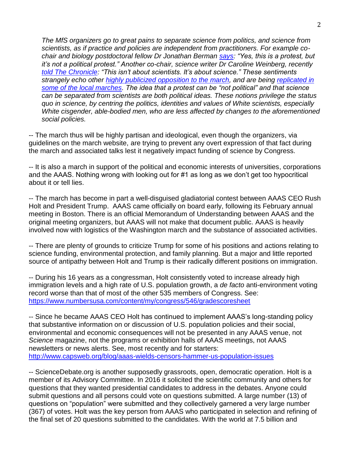*The MfS organizers go to great pains to separate science from politics, and science from scientists, as if practice and policies are independent from practitioners. For example cochair and biology postdoctoral fellow Dr Jonathan Berman [says:](https://www.nytimes.com/2017/02/01/science/march-for-science-washington-date.html?_r=0) "Yes, this is a protest, but it's not a political protest." Another co-chair, science writer Dr Caroline Weinberg, recently [told The Chronicle:](http://www.chronicle.com/article/March-for-Science-/239160) "This isn't about scientists. It's about science." These sentiments strangely echo other [highly publicized opposition to the march,](https://www.nytimes.com/2017/01/31/opinion/a-scientists-march-on-washington-is-a-bad-idea.html) and are being [replicated in](https://twitter.com/seelix/status/827712672619708421)  [some of the local marches.](https://twitter.com/seelix/status/827712672619708421) The idea that a protest can be "not political" and that science can be separated from scientists are both political ideas. These notions privilege the status quo in science, by centring the politics, identities and values of White scientists, especially White cisgender, able-bodied men, who are less affected by changes to the aforementioned social policies.*

-- The march thus will be highly partisan and ideological, even though the organizers, via guidelines on the march website, are trying to prevent any overt expression of that fact during the march and associated talks lest it negatively impact funding of science by Congress.

-- It is also a march in support of the political and economic interests of universities, corporations and the AAAS. Nothing wrong with looking out for #1 as long as we don't get too hypocritical about it or tell lies.

-- The march has become in part a well-disguised gladiatorial contest between AAAS CEO Rush Holt and President Trump. AAAS came officially on board early, following its February annual meeting in Boston. There is an official Memorandum of Understanding between AAAS and the original meeting organizers, but AAAS will not make that document public. AAAS is heavily involved now with logistics of the Washington march and the substance of associated activities.

-- There are plenty of grounds to criticize Trump for some of his positions and actions relating to science funding, environmental protection, and family planning. But a major and little reported source of antipathy between Holt and Trump is their radically different positions on immigration.

-- During his 16 years as a congressman, Holt consistently voted to increase already high immigration levels and a high rate of U.S. population growth, a *de facto* anti-environment voting record worse than that of most of the other 535 members of Congress. See: <https://www.numbersusa.com/content/my/congress/546/gradescoresheet>

-- Since he became AAAS CEO Holt has continued to implement AAAS's long-standing policy that substantive information on or discussion of U.S. population policies and their social, environmental and economic consequences will not be presented in any AAAS venue, not *Science* magazine, not the programs or exhibition halls of AAAS meetings, not AAAS newsletters or news alerts. See, most recently and for starters: <http://www.capsweb.org/blog/aaas-wields-censors-hammer-us-population-issues>

-- ScienceDebate.org is another supposedly grassroots, open, democratic operation. Holt is a member of its Advisory Committee. In 2016 it solicited the scientific community and others for questions that they wanted presidential candidates to address in the debates. Anyone could submit questions and all persons could vote on questions submitted. A large number (13) of questions on "population" were submitted and they collectively garnered a very large number (367) of votes. Holt was the key person from AAAS who participated in selection and refining of the final set of 20 questions submitted to the candidates. With the world at 7.5 billion and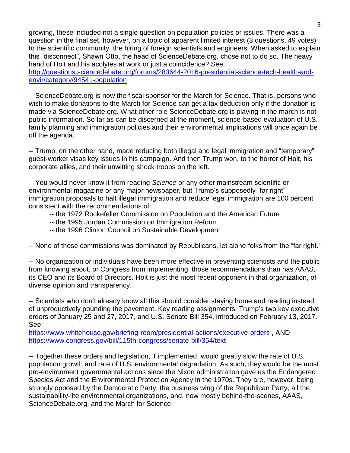growing, these included not a single question on population policies or issues. There was a question in the final set, however, on a topic of apparent limited interest (3 questions, 49 votes) to the scientific community, the hiring of foreign scientists and engineers. When asked to explain this "disconnect", Shawn Otto, the head of ScienceDebate.org, chose not to do so. The heavy hand of Holt and his acolytes at work or just a coincidence? See:

[http://questions.sciencedebate.org/forums/283644-2016-presidential-science-tech-health-and](http://questions.sciencedebate.org/forums/283644-2016-presidential-science-tech-health-and-envir/category/94541-population)[envir/category/94541-population](http://questions.sciencedebate.org/forums/283644-2016-presidential-science-tech-health-and-envir/category/94541-population)

-- ScienceDebate.org is now the fiscal sponsor for the March for Science. That is, persons who wish to make donations to the March for Science can get a tax deduction only if the donation is made via ScienceDebate.org. What other role ScienceDebate.org is playing in the march is not public information. So far as can be discerned at the moment, science-based evaluation of U.S. family planning and immigration policies and their environmental implications will once again be off the agenda.

-- Trump, on the other hand, made reducing both illegal and legal immigration and "temporary" guest-worker visas key issues in his campaign. And then Trump won, to the horror of Holt, his corporate allies, and their unwitting shock troops on the left.

-- You would never know it from reading *Science* or any other mainstream scientific or environmental magazine or any major newspaper, but Trump's supposedly "far right" immigration proposals to halt illegal immigration and reduce legal immigration are 100 percent consistent with the recommendations of:

- -- the 1972 Rockefeller Commission on Population and the American Future
- -- the 1995 Jordan Commission on Immigration Reform
- -- the 1996 Clinton Council on Sustainable Development

-- None of those commissions was dominated by Republicans, let alone folks from the "far right."

-- No organization or individuals have been more effective in preventing scientists and the public from knowing about, or Congress from implementing, those recommendations than has AAAS, its CEO and its Board of Directors. Holt is just the most recent opponent in that organization, of diverse opinion and transparency.

-- Scientists who don't already know all this should consider staying home and reading instead of unproductively pounding the pavement. Key reading assignments: Trump's two key executive orders of January 25 and 27, 2017, and U.S. Senate Bill 354, introduced on February 13, 2017. See:

<https://www.whitehouse.gov/briefing-room/presidential-actions/executive-orders> , AND <https://www.congress.gov/bill/115th-congress/senate-bill/354/text>

-- Together these orders and legislation, if implemented, would greatly slow the rate of U.S. population growth and rate of U.S. environmental degradation. As such, they would be the most pro-environment governmental actions since the Nixon administration gave us the Endangered Species Act and the Environmental Protection Agency in the 1970s. They are, however, being strongly opposed by the Democratic Party, the business wing of the Republican Party, all the sustainability-lite environmental organizations, and, now mostly behind-the-scenes, AAAS, ScienceDebate.org, and the March for Science.